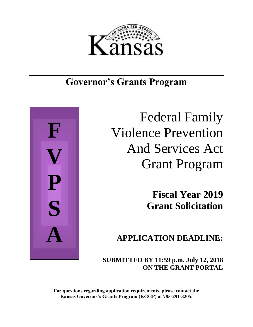

# **Governor's Grants Program**



Federal Family Violence Prevention And Services Act Grant Program

\_\_\_\_\_\_\_\_\_\_\_\_\_\_\_\_\_\_\_\_\_\_\_\_\_\_\_\_\_\_\_\_\_\_\_\_\_\_\_\_\_\_\_\_\_\_\_\_\_\_\_\_

**Fiscal Year 2019 Grant Solicitation**

**APPLICATION DEADLINE:**

 **SUBMITTED BY 11:59 p.m. July 12, 2018 ON THE GRANT PORTAL**

**For questions regarding application requirements, please contact the Kansas Governor's Grants Program (KGGP) at 785-291-3205.**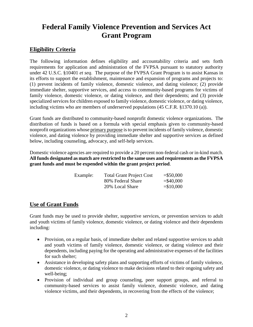## **Federal Family Violence Prevention and Services Act Grant Program**

## **Eligibility Criteria**

The following information defines eligibility and accountability criteria and sets forth requirements for application and administration of the FVPSA pursuant to statutory authority under 42 U.S.C. §10401 *et seq*. The purpose of the FVPSA Grant Program is to assist Kansas in its efforts to support the establishment, maintenance and expansion of programs and projects to: (1) prevent incidents of family violence, domestic violence, and dating violence; (2) provide immediate shelter, supportive services, and access to community-based programs for victims of family violence, domestic violence, or dating violence, and their dependents; and (3) provide specialized services for children exposed to family violence, domestic violence, or dating violence, including victims who are members of underserved populations (45 C.F.R. §1370.10 (a)).

Grant funds are distributed to community-based nonprofit domestic violence organizations. The distribution of funds is based on a formula with special emphasis given to community-based nonprofit organizations whose primary purpose is to prevent incidents of family violence, domestic violence, and dating violence by providing immediate shelter and supportive services as defined below, including counseling, advocacy, and self-help services.

Domestic violence agencies are required to provide a 20 percent non-federal cash or in-kind match. **All funds designated as match are restricted to the same uses and requirements as the FVPSA grant funds and must be expended within the grant project period**.

| Example: | <b>Total Grant Project Cost</b> | $= $50,000$  |
|----------|---------------------------------|--------------|
|          | 80% Federal Share               | $=$ \$40,000 |
|          | 20% Local Share                 | $= $10,000$  |

## **Use of Grant Funds**

Grant funds may be used to provide shelter, supportive services, or prevention services to adult and youth victims of family violence, domestic violence, or dating violence and their dependents including:

- Provision, on a regular basis, of immediate shelter and related supportive services to adult and youth victims of family violence, domestic violence, or dating violence and their dependents, including paying for the operating and administrative expenses of the facilities for such shelter;
- Assistance in developing safety plans and supporting efforts of victims of family violence, domestic violence, or dating violence to make decisions related to their ongoing safety and well-being;
- Provision of individual and group counseling, peer support groups, and referral to community-based services to assist family violence, domestic violence, and dating violence victims, and their dependents, in recovering from the effects of the violence;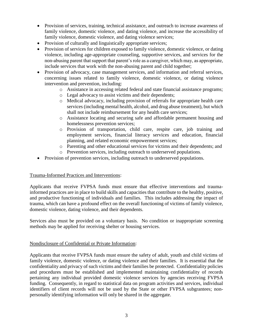- Provision of services, training, technical assistance, and outreach to increase awareness of family violence, domestic violence, and dating violence, and increase the accessibility of family violence, domestic violence, and dating violence services;
- Provision of culturally and linguistically appropriate services;
- Provision of services for children exposed to family violence, domestic violence, or dating violence, including age-appropriate counseling, supportive services, and services for the non-abusing parent that support that parent's role as a caregiver, which may, as appropriate, include services that work with the non-abusing parent and child together;
- Provision of advocacy, case management services, and information and referral services, concerning issues related to family violence, domestic violence, or dating violence intervention and prevention, including:
	- o Assistance in accessing related federal and state financial assistance programs;
	- o Legal advocacy to assist victims and their dependents;
	- o Medical advocacy, including provision of referrals for appropriate health care services (including mental health, alcohol, and drug abuse treatment), but which shall not include reimbursement for any health care services;
	- o Assistance locating and securing safe and affordable permanent housing and homelessness prevention services;
	- o Provision of transportation, child care, respite care, job training and employment services, financial literacy services and education, financial planning, and related economic empowerment services;
	- o Parenting and other educational services for victims and their dependents; and
	- o Prevention services, including outreach to underserved populations.
- Provision of prevention services, including outreach to underserved populations.

#### Trauma-Informed Practices and Interventions:

Applicants that receive FVPSA funds must ensure that effective interventions and traumainformed practices are in place to build skills and capacities that contribute to the healthy, positive, and productive functioning of individuals and families. This includes addressing the impact of trauma, which can have a profound effect on the overall functioning of victims of family violence, domestic violence, dating violence, and their dependents.

Services also must be provided on a voluntary basis. No condition or inappropriate screening methods may be applied for receiving shelter or housing services.

#### Nondisclosure of Confidential or Private Information:

Applicants that receive FVPSA funds must ensure the safety of adult, youth and child victims of family violence, domestic violence, or dating violence and their families. It is essential that the confidentiality and privacy of such victims and their families be protected. Confidentiality policies and procedures must be established and implemented maintaining confidentiality of records pertaining any individual provided domestic violence services by agencies receiving FVPSA funding. Consequently, in regard to statistical data on program activities and services, individual identifiers of client records will not be used by the State or other FVPSA subgrantees; nonpersonally identifying information will only be shared in the aggregate.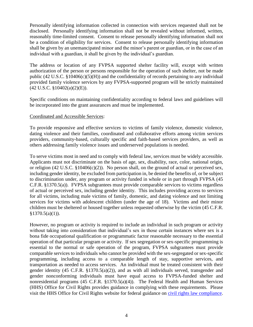Personally identifying information collected in connection with services requested shall not be disclosed. Personally identifying information shall not be revealed without informed, written, reasonably time-limited consent. Consent to release personally identifying information shall not be a condition of eligibility for services. Consent to release personally identifying information shall be given by an unemancipated minor and the minor's parent or guardian, or in the case of an individual with a guardian, it shall be given by the individual's guardian.

The address or location of any FVPSA supported shelter facility will, except with written authorization of the person or persons responsible for the operation of such shelter, not be made public (42 U.S.C. §10406(c)(5)(H)) and the confidentiality of records pertaining to any individual provided family violence services by any FVPSA-supported program will be strictly maintained (42 U.S.C. §10402(a)(2)(E)).

Specific conditions on maintaining confidentiality according to federal laws and guidelines will be incorporated into the grant assurances and must be implemented.

#### Coordinated and Accessible Services:

To provide responsive and effective services to victims of family violence, domestic violence, dating violence and their families, coordinated and collaborative efforts among victim services providers, community-based, culturally specific and faith-based services providers, as well as others addressing family violence issues and underserved populations is needed.

To serve victims most in need and to comply with federal law, services must be widely accessible. Applicants must not discriminate on the basis of age, sex, disability, race, color, national origin, or religion (42 U.S.C.  $$10406(c)(2)$ ). No person shall, on the ground of actual or perceived sex, including gender identity, be excluded from participation in, be denied the benefits of, or be subject to discrimination under, any program or activity funded in whole or in part through FVPSA (45 C.F.R. §1370.5(a)). FVPSA subgrantees must provide comparable services to victims regardless of actual or perceived sex, including gender identity. This includes providing access to services for all victims, including male victims of family, domestic, and dating violence and not limiting services for victims with adolescent children (under the age of 18). Victims and their minor children must be sheltered or housed together unless requested otherwise by the victim (45 C.F.R.  $§1370.5(a)(1)).$ 

However, no program or activity is required to include an individual in such program or activity without taking into consideration that individual's sex in those certain instances where sex is a bona fide occupational qualification or programmatic factor reasonable necessary to the essential operation of that particular program or activity. If sex segregation or sex-specific programming is essential to the normal or safe operation of the program, FVPSA subgrantees must provide comparable services to individuals who cannot be provided with the sex-segregated or sex-specific programming, including access to a comparable length of stay, supportive services, and transportation as needed to access services. An individual must be treated consistent with their gender identity (45 C.F.R. §1370.5(a)(2)), and as with all individuals served, transgender and gender nonconforming individuals must have equal access to FVPSA-funded shelter and nonresidential programs (45 C.F.R. §1370.5(a)(4)). The Federal Health and Human Services (HHS) Office for Civil Rights provides guidance in complying with these requirements. Please visit the HHS Office for Civil Rights website for federal guidance on [civil rights law compliance.](https://www.hhs.gov/civil-rights/for-individuals/index.html)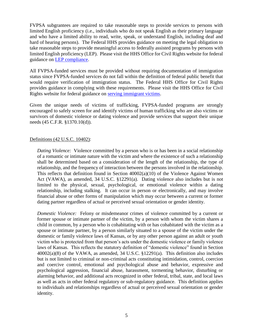FVPSA subgrantees are required to take reasonable steps to provide services to persons with limited English proficiency (i.e., individuals who do not speak English as their primary language and who have a limited ability to read, write, speak, or understand English, including deaf and hard of hearing persons). The Federal HHS provides guidance on meeting the legal obligation to take reasonable steps to provide meaningful access to federally assisted programs by persons with limited English proficiency (LEP). Please visit the HHS Office for Civil Rights website for federal guidance on [LEP compliance.](http://www.hhs.gov/ocr/civilrights/resources/specialtopics/lep/index.html)

All FVPSA-funded services must be provided without requiring documentation of immigration status since FVPSA-funded services do not fall within the definition of federal public benefit that would require verification of immigration status. The Federal HHS Office for Civil Rights provides guidance in complying with these requirements. Please visit the HHS Office for Civil Rights website for federal guidance on [serving immigrant victims.](http://www.hhs.gov/ocr/civilrights/resources/specialtopics/origin/domesticviolencefactsheet.html)

Given the unique needs of victims of trafficking, FVPSA-funded programs are strongly encouraged to safely screen for and identify victims of human trafficking who are also victims or survivors of domestic violence or dating violence and provide services that support their unique needs (45 C.F.R. §1370.10(d)).

#### Definitions (42 U.S.C. 10402):

*Dating Violence:* Violence committed by a person who is or has been in a social relationship of a romantic or intimate nature with the victim and where the existence of such a relationship shall be determined based on a consideration of the length of the relationship, the type of relationship, and the frequency of interaction between the persons involved in the relationship. This reflects that definition found in Section 40002(a)(10) of the Violence Against Women Act (VAWA), as amended, 34 U.S.C. §12291(a). Dating violence also includes but is not limited to the physical, sexual, psychological, or emotional violence within a dating relationship, including stalking. It can occur in person or electronically, and may involve financial abuse or other forms of manipulation which may occur between a current or former dating partner regardless of actual or perceived sexual orientation or gender identity.

*Domestic Violence:* Felony or misdemeanor crimes of violence committed by a current or former spouse or intimate partner of the victim, by a person with whom the victim shares a child in common, by a person who is cohabitating with or has cohabitated with the victim as a spouse or intimate partner, by a person similarly situated to a spouse of the victim under the domestic or family violence laws of Kansas, or by any other person against an adult or youth victim who is protected from that person's acts under the domestic violence or family violence laws of Kansas. This reflects the statutory definition of "domestic violence" found in Section 40002(a)(8) of the VAWA, as amended, 34 U.S.C. §12291(a). This definition also includes but is not limited to criminal or non-criminal acts constituting intimidation, control, coercion and coercive control, emotional and psychological abuse and behavior, expressive and psychological aggression, financial abuse, harassment, tormenting behavior, disturbing or alarming behavior, and additional acts recognized in other federal, tribal, state, and local laws as well as acts in other federal regulatory or sub-regulatory guidance. This definition applies to individuals and relationships regardless of actual or perceived sexual orientation or gender identity.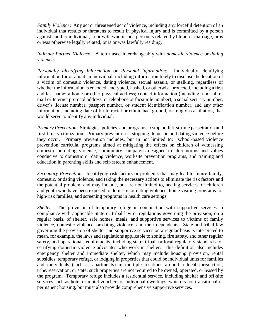*Family Violence*: Any act or threatened act of violence, including any forceful detention of an individual that results or threatens to result in physical injury and is committed by a person against another individual, to or with whom such person is related by blood or marriage, or is or was otherwise legally related, or is or was lawfully residing.

*Intimate Partner Violence:* A term used interchangeably with *domestic violence* or *dating violence*.

*Personally Identifying Information or Personal Information:* Individually identifying information for or about an individual, including information likely to disclose the location of a victim of domestic violence, dating violence, sexual assault, or stalking, regardless of whether the information is encoded, encrypted, hashed, or otherwise protected, including a first and last name; a home or other physical address; contact information (including a postal, email or Internet protocol address, or telephone or facsimile number); a social security number, driver's license number, passport number, or student identification number; and any other information, including date of birth, racial or ethnic background, or religious affiliation, that would serve to identify any individual.

*Primary Prevention*: Strategies, policies, and programs to stop both first-time perpetration and first-time victimization. Primary prevention is stopping domestic and dating violence before they occur. Primary prevention includes, but in not limited to: school-based violence prevention curricula, programs aimed at mitigating the effects on children of witnessing domestic or dating violence, community campaigns designed to alter norms and values conducive to domestic or dating violence, worksite prevention programs, and training and education in parenting skills and self-esteem enhancement.

*Secondary Prevention*: Identifying risk factors or problems that may lead to future family, domestic, or dating violence, and taking the necessary actions to eliminate the risk factors and the potential problem, and may include, but are not limited to, healing services for children and youth who have been exposed to domestic or dating violence, home visiting programs for high-risk families, and screening programs in health care settings.

*Shelter*: The provision of temporary refuge in conjunction with supportive services in compliance with applicable State or tribal law or regulations governing the provision, on a regular basis, of shelter, safe homes, meals, and supportive services to victims of family violence, domestic violence, or dating violence, and their dependents. State and tribal law governing the provision of shelter and supportive services on a regular basis is interpreted to mean, for example, the laws and regulations applicable to zoning, fire safety, and other regular safety, and operational requirements, including state, tribal, or local regulatory standards for certifying domestic violence advocates who work in shelter. This definition also includes emergency shelter and immediate shelter, which may include housing provision, rental subsidies, temporary refuge, or lodging in properties that could be individual units for families and individuals (such as apartments) in multiple locations around a local jurisdiction, tribe/reservation, or state; such properties are not required to be owned, operated, or leased by the program. Temporary refuge includes a residential service, including shelter and off-site services such as hotel or motel vouchers or individual dwellings, which is not transitional or permanent housing, but must also provide comprehensive supportive services.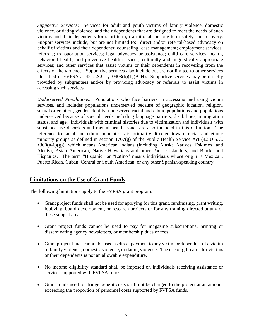*Supportive Services*: Services for adult and youth victims of family violence, domestic violence, or dating violence, and their dependents that are designed to meet the needs of such victims and their dependents for short-term, transitional, or long-term safety and recovery. Support services include, but are not limited to: direct and/or referral-based advocacy on behalf of victims and their dependents; counseling; case management; employment services; referrals; transportation services; legal advocacy or assistance; child care services; health, behavioral health, and preventive health services; culturally and linguistically appropriate services; and other services that assist victims or their dependents in recovering from the effects of the violence. Supportive services also include but are not limited to other services identified in FVPSA at 42 U.S.C.  $\S$ 10408(b)(1)(A-H). Supportive services may be directly provided by subgrantees and/or by providing advocacy or referrals to assist victims in accessing such services.

*Underserved Populations*: Populations who face barriers in accessing and using victim services, and includes populations underserved because of geographic location, religion, sexual orientation, gender identity, undeserved racial and ethnic populations and populations underserved because of special needs including language barriers, disabilities, immigration status, and age. Individuals with criminal histories due to victimization and individuals with substance use disorders and mental health issues are also included in this definition. The reference to racial and ethnic populations is primarily directed toward racial and ethnic minority groups as defined in section 1707(g) of the Public Health Service Act (42 U.S.C.  $§300(u-6)(g)$ , which means American Indians (including Alaska Natives, Eskimos, and Aleuts); Asian American; Native Hawaiians and other Pacific Islanders; and Blacks and Hispanics. The term "Hispanic" or "Latino" means individuals whose origin is Mexican, Puerto Rican, Cuban, Central or South American, or any other Spanish-speaking country.

#### **Limitations on the Use of Grant Funds**

The following limitations apply to the FVPSA grant program:

- Grant project funds shall not be used for applying for this grant, fundraising, grant writing, lobbying, board development, or research projects or for any training directed at any of these subject areas.
- Grant project funds cannot be used to pay for magazine subscriptions, printing or disseminating agency newsletters, or membership dues or fees.
- Grant project funds cannot be used as direct payment to any victim or dependent of a victim of family violence, domestic violence, or dating violence. The use of gift cards for victims or their dependents is not an allowable expenditure.
- No income eligibility standard shall be imposed on individuals receiving assistance or services supported with FVPSA funds.
- Grant funds used for fringe benefit costs shall not be charged to the project at an amount exceeding the proportion of personnel costs supported by FVPSA funds.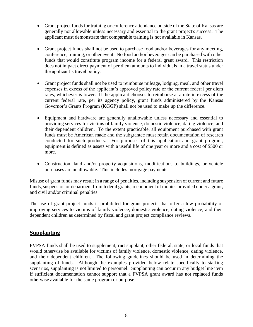- Grant project funds for training or conference attendance outside of the State of Kansas are generally not allowable unless necessary and essential to the grant project's success. The applicant must demonstrate that comparable training is not available in Kansas.
- Grant project funds shall not be used to purchase food and/or beverages for any meeting, conference, training, or other event. No food and/or beverages can be purchased with other funds that would constitute program income for a federal grant award. This restriction does not impact direct payment of per diem amounts to individuals in a travel status under the applicant's travel policy.
- Grant project funds shall not be used to reimburse mileage, lodging, meal, and other travel expenses in excess of the applicant's approved policy rate or the current federal per diem rates, whichever is lower. If the applicant chooses to reimburse at a rate in excess of the current federal rate, per its agency policy, grant funds administered by the Kansas Governor's Grants Program (KGGP) shall not be used to make up the difference.
- Equipment and hardware are generally unallowable unless necessary and essential to providing services for victims of family violence, domestic violence, dating violence, and their dependent children. To the extent practicable, all equipment purchased with grant funds must be American made and the subgrantee must retain documentation of research conducted for such products. For purposes of this application and grant program, equipment is defined as assets with a useful life of one year or more and a cost of \$500 or more.
- Construction, land and/or property acquisitions, modifications to buildings, or vehicle purchases are unallowable. This includes mortgage payments.

Misuse of grant funds may result in a range of penalties, including suspension of current and future funds, suspension or debarment from federal grants, recoupment of monies provided under a grant, and civil and/or criminal penalties.

The use of grant project funds is prohibited for grant projects that offer a low probability of improving services to victims of family violence, domestic violence, dating violence, and their dependent children as determined by fiscal and grant project compliance reviews.

## **Supplanting**

FVPSA funds shall be used to supplement, **not** supplant, other federal, state, or local funds that would otherwise be available for victims of family violence, domestic violence, dating violence, and their dependent children. The following guidelines should be used in determining the supplanting of funds. Although the examples provided below relate specifically to staffing scenarios, supplanting is not limited to personnel. Supplanting can occur in any budget line item if sufficient documentation cannot support that a FVPSA grant award has not replaced funds otherwise available for the same program or purpose.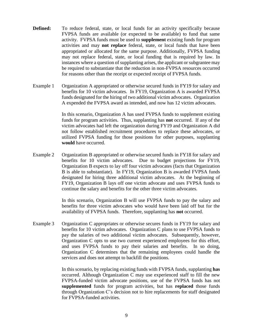- **Defined:** To reduce federal, state, or local funds for an activity specifically because FVPSA funds are available (or expected to be available) to fund that same activity. FVPSA funds must be used to **supplement** existing funds for program activities and may **not replace** federal, state, or local funds that have been appropriated or allocated for the same purpose. Additionally, FVPSA funding may not replace federal, state, or local funding that is required by law. In instances where a question of supplanting arises, the applicant or subgrantee may be required to substantiate that the reduction in non-FVPSA resources occurred for reasons other than the receipt or expected receipt of FVPSA funds.
- Example 1 Organization A appropriated or otherwise secured funds in FY19 for salary and benefits for 10 victim advocates. In FY19, Organization A is awarded FVPSA funds designated for the hiring of two additional victim advocates. Organization A expended the FVPSA award as intended, and now has 12 victim advocates.

In this scenario, Organization A has used FVPSA funds to supplement existing funds for program activities. Thus, supplanting has **not** occurred. If any of the victim advocates had left the organization during FY19 and Organization A did not follow established recruitment procedures to replace these advocates, or utilized FVPSA funding for those positions for other purposes, supplanting **would** have occurred.

Example 2 Organization B appropriated or otherwise secured funds in FY18 for salary and benefits for 10 victim advocates. Due to budget projections for FY19, Organization B expects to lay off four victim advocates (facts that Organization B is able to substantiate). In FY19, Organization B is awarded FVPSA funds designated for hiring three additional victim advocates. At the beginning of FY19, Organization B lays off one victim advocate and uses FVPSA funds to continue the salary and benefits for the other three victim advocates.

> In this scenario, Organization B will use FVPSA funds to pay the salary and benefits for three victim advocates who would have been laid off but for the availability of FVPSA funds. Therefore, supplanting has **not** occurred.

Example 3 Organization C appropriates or otherwise secures funds in FY19 for salary and benefits for 10 victim advocates. Organization C plans to use FVPSA funds to pay the salaries of two additional victim advocates. Subsequently, however, Organization C opts to use two current experienced employees for this effort, and uses FVPSA funds to pay their salaries and benefits. In so doing, Organization C determines that the remaining employees could handle the services and does not attempt to backfill the positions.

> In this scenario, by replacing existing funds with FVPSA funds, supplanting **has** occurred. Although Organization C may use experienced staff to fill the new FVPSA-funded victim advocate positions, use of the FVPSA funds has not **supplemented** funds for program activities, but has **replaced** those funds through Organization C's decision not to hire replacements for staff designated for FVPSA-funded activities.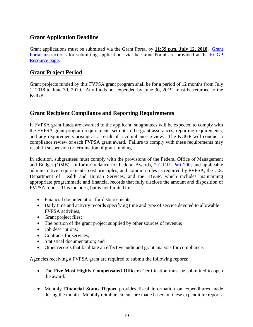## **Grant Application Deadline**

Grant applications must be submitted via the [Grant Portal](https://www.kansas.gov/grants/index.do) by **11:59 p.m. July 12, 2018.** [Grant](http://grants.ks.gov/docs/default-source/how-to-guides/application-portal-instructions.pdf?sfvrsn=4)  [Portal instructions](http://grants.ks.gov/docs/default-source/how-to-guides/application-portal-instructions.pdf?sfvrsn=4) for submitting applications via the Grant Portal are provided at the [KGGP](http://www.grants.ks.gov/resources/getting-started)  [Resource page.](http://www.grants.ks.gov/resources/getting-started)

## **Grant Project Period**

Grant projects funded by this FVPSA grant program shall be for a period of 12 months from July 1, 2018 to June 30, 2019. Any funds not expended by June 30, 2019, must be returned to the KGGP.

## **Grant Recipient Compliance and Reporting Requirements**

If FVPSA grant funds are awarded to the applicant, subgrantees will be expected to comply with the FVPSA grant program requirements set out in the grant assurances, reporting requirements, and any requirements arising as a result of a compliance review. The KGGP will conduct a compliance review of each FVPSA grant award. Failure to comply with these requirements may result in suspension or termination of grant funding.

In addition, subgrantees must comply with the provisions of the Federal Office of Management and Budget (OMB) Uniform Guidance for Federal Awards, 2 C.F.R. [Part 200,](http://www.ecfr.gov/cgi-bin/text-idx?SID=2c6d1c9f8de1f9619110b4599d84a234&mc=true&node=pt2.1.200&rgn=div5#_top) and applicable administrative requirements, cost principles, and common rules as required by FVPSA, the U.S. Department of Health and Human Services, and the KGGP, which includes maintaining appropriate programmatic and financial records that fully disclose the amount and disposition of FVPSA funds. This includes, but is not limited to:

- Financial documentation for disbursements;
- Daily time and activity records specifying time and type of service devoted to allowable FVPSA activities;
- Grant project files;
- The portion of the grant project supplied by other sources of revenue;
- Job descriptions;
- Contracts for services:
- Statistical documentation: and
- Other records that facilitate an effective audit and grant analysis for compliance.

Agencies receiving a FVPSA grant are required to submit the following reports:

- The **Five Most Highly Compensated Officers** Certification must be submitted to open the award.
- Monthly **Financial Status Report** provides fiscal information on expenditures made during the month. Monthly reimbursements are made based on these expenditure reports.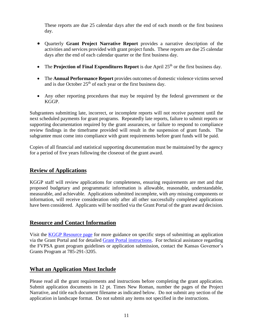These reports are due 25 calendar days after the end of each month or the first business day.

- Quarterly **Grant Project Narrative Report** provides a narrative description of the activities and services provided with grant project funds. These reports are due 25 calendar days after the end of each calendar quarter or the first business day.
- The **Projection of Final Expenditures Report** is due April 25<sup>th</sup> or the first business day.
- The **Annual Performance Report** provides outcomes of domestic violence victims served and is due October  $25<sup>th</sup>$  of each year or the first business day.
- Any other reporting procedures that may be required by the federal government or the KGGP.

Subgrantees submitting late, incorrect, or incomplete reports will not receive payment until the next scheduled payments for grant programs. Repeatedly late reports, failure to submit reports or supporting documentation required by the grant assurances, or failure to respond to compliance review findings in the timeframe provided will result in the suspension of grant funds. The subgrantee must come into compliance with grant requirements before grant funds will be paid.

Copies of all financial and statistical supporting documentation must be maintained by the agency for a period of five years following the closeout of the grant award.

#### **Review of Applications**

KGGP staff will review applications for completeness, ensuring requirements are met and that proposed budgetary and programmatic information is allowable, reasonable, understandable, measurable, and achievable. Applications submitted incomplete, with *any* missing components or information, will receive consideration only after all other successfully completed applications have been considered. Applicants will be notified via the Grant Portal of the grant award decision.

#### **Resource and Contact Information**

Visit the [KGGP Resource page](http://www.grants.ks.gov/resources/getting-started) for more guidance on specific steps of submitting an application via the Grant Portal and for detailed [Grant Portal instructions.](http://grants.ks.gov/docs/default-source/how-to-guides/application-portal-instructions.pdf?sfvrsn=4) For technical assistance regarding the FVPSA grant program guidelines or application submission, contact the Kansas Governor's Grants Program at 785-291-3205.

#### **What an Application Must Include**

Please read all the grant requirements and instructions before completing the grant application. Submit application documents in 12 pt. Times New Roman, number the pages of the Project Narrative, and title each document filename as indicated below. Do not submit any section of the application in landscape format. Do not submit any items not specified in the instructions.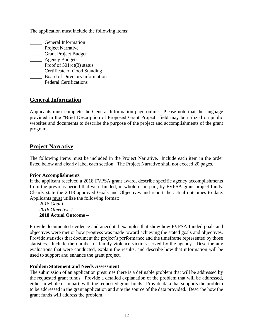The application must include the following items:

- \_\_\_\_\_ General Information
- **\_\_\_\_\_** Project Narrative
- \_\_\_\_\_ Grant Project Budget
- \_\_\_\_\_ Agency Budgets
- **Proof of 501(c)(3) status**
- \_\_\_\_\_ Certificate of Good Standing
- \_\_\_\_\_ Board of Directors Information
- \_\_\_\_\_ Federal Certifications

## **General Information**

Applicants must complete the General Information page online. Please note that the language provided in the "Brief Description of Proposed Grant Project" field may be utilized on public websites and documents to describe the purpose of the project and accomplishments of the grant program.

## **Project Narrative**

The following items must be included in the Project Narrative. Include each item in the order listed below and clearly label each section. The Project Narrative shall not exceed 20 pages.

#### **Prior Accomplishments**

If the applicant received a 2018 FVPSA grant award, describe specific agency accomplishments from the previous period that were funded, in whole or in part, by FVPSA grant project funds. Clearly state the 2018 approved Goals and Objectives and report the actual outcomes to date. Applicants must utilize the following format:

*2018 Goal I – 2018 Objective 1 –* **2018 Actual Outcome –**

Provide documented evidence and anecdotal examples that show how FVPSA-funded goals and objectives were met or how progress was made toward achieving the stated goals and objectives. Provide statistics that document the project's performance and the timeframe represented by those statistics. Include the number of family violence victims served by the agency. Describe any evaluations that were conducted, explain the results, and describe how that information will be used to support and enhance the grant project.

#### **Problem Statement and Needs Assessment**

The submission of an application presumes there is a definable problem that will be addressed by the requested grant funds. Provide a detailed explanation of the problem that will be addressed, either in whole or in part, with the requested grant funds. Provide data that supports the problem to be addressed in the grant application and site the source of the data provided. Describe how the grant funds will address the problem.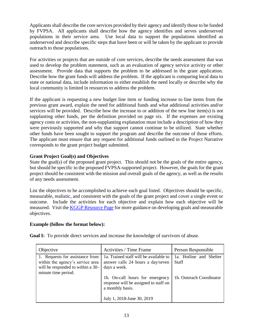Applicants shall describe the core services provided by their agency and identify those to be funded by FVPSA. All applicants shall describe how the agency identifies and serves underserved populations in their service area. Use local data to support the populations identified as underserved and describe specific steps that have been or will be taken by the applicant to provide outreach to those populations.

For activities or projects that are outside of core services, describe the needs assessment that was used to develop the problem statement, such as an evaluation of agency service activity or other assessment. Provide data that supports the problem to be addressed in the grant application. Describe how the grant funds will address the problem. If the applicant is comparing local data to state or national data, include information to either establish the need locally or describe why the local community is limited in resources to address the problem.

If the applicant is requesting a new budget line item or funding increase to line items from the previous grant award, explain the need for additional funds and what additional activities and/or services will be provided. Describe how the increase to or addition of the new line item(s) is not supplanting other funds, per the definition provided on page six. If the expenses are existing agency costs or activities, the non-supplanting explanation must include a description of how they were previously supported and why that support cannot continue to be utilized. State whether other funds have been sought to support the program and describe the outcome of those efforts. The applicant must ensure that any request for additional funds outlined in the Project Narrative corresponds to the grant project budget submitted.

#### **Grant Project Goal(s) and Objectives**

State the goal(s) of the proposed grant project. This should not be the goals of the entire agency, but should be specific to the proposed FVPSA-supported project. However, the goals for the grant project should be consistent with the mission and overall goals of the agency, as well as the results of any needs assessment.

List the objectives to be accomplished to achieve each goal listed. Objectives should be specific, measurable, realistic, and consistent with the goals of the grant project and cover a single event or outcome. Include the activities for each objective and explain how each objective will be measured. Visit the [KGGP Resource Page](http://www.grants.ks.gov/resources/getting-started) for more guidance on developing goals and measurable objectives.

#### **Example (follow the format below):**

| Objective                                                                                                                       | Activities / Time Frame                                                                                                    | Person Responsible                      |
|---------------------------------------------------------------------------------------------------------------------------------|----------------------------------------------------------------------------------------------------------------------------|-----------------------------------------|
| 1. Requests for assistance from<br>within the agency's service area<br>will be responded to within a 30-<br>minute time period. | 1a. Trained staff will be available to<br>answer calls 24 hours a day/seven<br>days a week.                                | 1a. Hotline and Shelter<br><b>Staff</b> |
|                                                                                                                                 | 1b. On-call hours for emergency<br>response will be assigned to staff on<br>a monthly basis.<br>July 1, 2018-June 30, 2019 | 1b. Outreach Coordinator                |

**Goal I:** To provide direct services and increase the knowledge of survivors of abuse.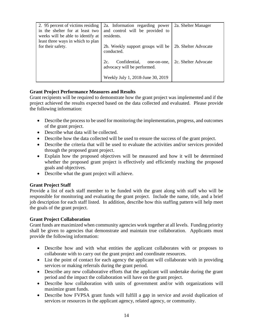| 2. 95 percent of victims residing<br>in the shelter for at least two<br>weeks will be able to identify at | 2a. Information regarding power<br>and control will be provided to<br>residents. | 2a. Shelter Manager  |
|-----------------------------------------------------------------------------------------------------------|----------------------------------------------------------------------------------|----------------------|
| least three ways in which to plan<br>for their safety.                                                    | 2b. Weekly support groups will be<br>conducted.                                  | 2b. Shelter Advocate |
|                                                                                                           | 2c.<br>Confidential,<br>one-on-one,<br>advocacy will be performed.               | 2c. Shelter Advocate |
|                                                                                                           | Weekly July 1, 2018-June 30, 2019                                                |                      |

#### **Grant Project Performance Measures and Results**

Grant recipients will be required to demonstrate how the grant project was implemented and if the project achieved the results expected based on the data collected and evaluated. Please provide the following information:

- Describe the process to be used for monitoring the implementation, progress, and outcomes of the grant project.
- Describe what data will be collected.
- Describe how the data collected will be used to ensure the success of the grant project.
- Describe the criteria that will be used to evaluate the activities and/or services provided through the proposed grant project.
- Explain how the proposed objectives will be measured and how it will be determined whether the proposed grant project is effectively and efficiently reaching the proposed goals and objectives.
- Describe what the grant project will achieve.

#### **Grant Project Staff**

Provide a list of each staff member to be funded with the grant along with staff who will be responsible for monitoring and evaluating the grant project. Include the name, title, and a brief job description for each staff listed. In addition, describe how this staffing pattern will help meet the goals of the grant project.

#### **Grant Project Collaboration**

Grant funds are maximized when community agencies work together at all levels. Funding priority shall be given to agencies that demonstrate and maintain true collaboration. Applicants must provide the following information:

- Describe how and with what entities the applicant collaborates with or proposes to collaborate with to carry out the grant project and coordinate resources.
- List the point of contact for each agency the applicant will collaborate with in providing services or making referrals during the grant period.
- Describe any new collaborative efforts that the applicant will undertake during the grant period and the impact the collaboration will have on the grant project.
- Describe how collaboration with units of government and/or with organizations will maximize grant funds.
- Describe how FVPSA grant funds will fulfill a gap in service and avoid duplication of services or resources in the applicant agency, related agency, or community.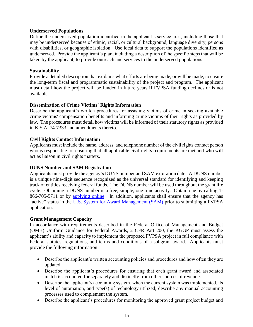#### **Underserved Populations**

Define the underserved population identified in the applicant's service area, including those that may be underserved because of ethnic, racial, or cultural background, language diversity, persons with disabilities, or geographic isolation. Use local data to support the populations identified as underserved. Provide the applicant's plan, including a description of the specific steps that will be taken by the applicant, to provide outreach and services to the underserved populations.

#### **Sustainability**

Provide a detailed description that explains what efforts are being made, or will be made, to ensure the long-term fiscal and programmatic sustainability of the project and program. The applicant must detail how the project will be funded in future years if FVPSA funding declines or is not available.

#### **Dissemination of Crime Victims' Rights Information**

Describe the applicant's written procedures for assisting victims of crime in seeking available crime victims' compensation benefits and informing crime victims of their rights as provided by law. The procedures must detail how victims will be informed of their statutory rights as provided in K.S.A. 74-7333 and amendments thereto.

#### **Civil Rights Contact Information**

Applicants must include the name, address, and telephone number of the civil rights contact person who is responsible for ensuring that all applicable civil rights requirements are met and who will act as liaison in civil rights matters.

#### **DUNS Number and SAM Registration**

Applicants must provide the agency's DUNS number and SAM expiration date. A DUNS number is a unique nine-digit sequence recognized as the universal standard for identifying and keeping track of entities receiving federal funds. The DUNS number will be used throughout the grant life cycle. Obtaining a DUNS number is a free, simple, one-time activity. Obtain one by calling 1- 866-705-5711 or by [applying online.](http://www.dnb.com/us/) In addition, applicants shall ensure that the agency has "active" status in the [U.S. System for Award Management \(SAM\)](http://www.sam.gov/) prior to submitting a FVPSA application.

#### **Grant Management Capacity**

In accordance with requirements described in the Federal Office of Management and Budget (OMB) Uniform Guidance for Federal Awards, 2 CFR Part 200, the KGGP must assess the applicant's ability and capacity to implement the proposed FVPSA project in full compliance with Federal statutes, regulations, and terms and conditions of a subgrant award. Applicants must provide the following information:

- Describe the applicant's written accounting policies and procedures and how often they are updated.
- Describe the applicant's procedures for ensuring that each grant award and associated match is accounted for separately and distinctly from other sources of revenue.
- Describe the applicant's accounting system, when the current system was implemented, its level of automation, and type(s) of technology utilized; describe any manual accounting processes used to complement the system.
- Describe the applicant's procedures for monitoring the approved grant project budget and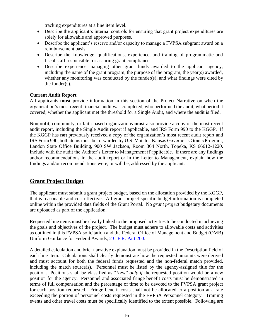tracking expenditures at a line item level.

- Describe the applicant's internal controls for ensuring that grant project expenditures are solely for allowable and approved purposes.
- Describe the applicant's reserve and/or capacity to manage a FVPSA subgrant award on a reimbursement basis.
- Describe the knowledge, qualifications, experience, and training of programmatic and fiscal staff responsible for assuring grant compliance.
- Describe experience managing other grant funds awarded to the applicant agency, including the name of the grant program, the purpose of the program, the year(s) awarded, whether any monitoring was conducted by the funder(s), and what findings were cited by the funder(s).

#### **Current Audit Report**

All applicants **must** provide information in this section of the Project Narrative on when the organization's most recent financial audit was completed, who performed the audit, what period it covered, whether the applicant met the threshold for a Single Audit, and where the audit is filed.

Nonprofit, community, or faith-based organizations **must** also provide a copy of the most recent audit report, including the Single Audit report if applicable, and IRS Form 990 to the KGGP. If the KGGP has **not** previously received a copy of the organization's most recent audit report and IRS Form 990, both items must be forwarded by U.S. Mail to: Kansas Governor's Grants Program, Landon State Office Building, 900 SW Jackson, Room 304 North, Topeka, KS 66612-1220. Include with the audit the Auditor's Letter to Management if applicable. If there are any findings and/or recommendations in the audit report or in the Letter to Management, explain how the findings and/or recommendations were, or will be, addressed by the applicant.

## **Grant Project Budget**

The applicant must submit a grant project budget, based on the allocation provided by the KGGP, that is reasonable and cost effective. All grant project-specific budget information is completed online within the provided data fields of the Grant Portal. No *grant project* budgetary documents are uploaded as part of the application.

Requested line items must be clearly linked to the proposed activities to be conducted in achieving the goals and objectives of the project. The budget must adhere to allowable costs and activities as outlined in this FVPSA solicitation and the Federal Office of Management and Budget (OMB) Uniform Guidance for Federal Awards, [2 C.F.R.](http://www.ecfr.gov/cgi-bin/text-idx?SID=2c6d1c9f8de1f9619110b4599d84a234&mc=true&node=pt2.1.200&rgn=div5#_top) Part 200.

A detailed calculation and brief narrative explanation must be provided in the Description field of each line item. Calculations shall clearly demonstrate how the requested amounts were derived and must account for both the federal funds requested and the non-federal match provided, including the match source(s). Personnel must be listed by the agency-assigned title for the position. Positions shall be classified as "New" *only if* the requested position would be a new position for the agency. Personnel and associated fringe benefit costs must be demonstrated in terms of full compensation and the percentage of time to be devoted to the FVPSA grant project for each position requested. Fringe benefit costs shall not be allocated to a position at a rate exceeding the portion of personnel costs requested in the FVPSA Personnel category. Training events and other travel costs must be specifically identified to the extent possible. Following are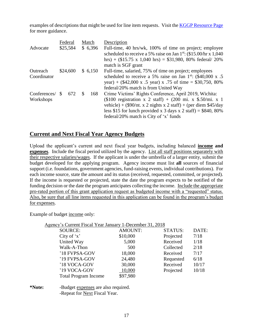examples of descriptions that might be used for line item requests. Visit the [KGGP Resource Page](http://www.grants.ks.gov/resources/getting-started) for more guidance.

|              |                     | Federal  |     | Match                                                  | Description                                                                         |
|--------------|---------------------|----------|-----|--------------------------------------------------------|-------------------------------------------------------------------------------------|
| Advocate     |                     | \$25,584 |     | \$6,396                                                | Full-time, 40 hrs/wk, 100% of time on project; employee                             |
|              |                     |          |     |                                                        | scheduled to receive a 5% raise on Jan 1 <sup>st</sup> : $(\$15.00/hr \times 1,040$ |
|              |                     |          |     |                                                        | hrs) + $(\$15.75 \times 1,040$ hrs) = $\$31,980, 80\%$ federal/ 20%                 |
|              |                     |          |     |                                                        | match is SGF grant                                                                  |
| Outreach     | \$24,600<br>\$6,150 |          |     | Full-time, salaried, 75% of time on project; employees |                                                                                     |
| Coordinator  |                     |          |     |                                                        | scheduled to receive a 5% raise on Jan $1^{st}$ : (\$40,000 x .5)                   |
|              |                     |          |     |                                                        | year) + $(\$42,000 \times .5 \text{ year}$ x .75 of time = \$30,750, 80%            |
|              |                     |          |     |                                                        | federal/20% match is from United Way                                                |
| Conferences/ | <b>S</b>            | 672      | \$. | 168                                                    | Crime Victims' Rights Conference, April 2019, Wichita:                              |
| Workshops    |                     |          |     |                                                        | $$100$ registration x 2 staff) + $(200 \text{ mi. x } $.50/\text{mi. x } 1)$        |
|              |                     |          |     |                                                        | vehicle) + $(\$90/nt. x 2$ nights x 2 staff) + (per diem \$45/day                   |
|              |                     |          |     |                                                        | less \$15 for lunch provided x 3 days x 2 staff) = \$840, 80%                       |
|              |                     |          |     |                                                        | federal/20% match is City of 'x' funds                                              |

## **Current and Next Fiscal Year Agency Budgets**

Upload the applicant's current and next fiscal year budgets, including balanced **income and expenses**. Include the fiscal period utilized by the agency. List all staff positions separately with their respective salaries/wages. If the applicant is under the umbrella of a larger entity, submit the budget developed for the applying program. Agency income must list **all** sources of financial support (i.e. foundations, government agencies, fund-raising events, individual contributions). For each income source, state the amount and its status (received, requested, committed, or projected). If the income is requested or projected, state the date the program expects to be notified of the funding decision or the date the program anticipates collecting the income. Include the appropriate pro-rated portion of this grant application request as budgeted income with a "requested" status. Also, be sure that all line items requested in this application can be found in the program's budget for expenses.

Example of budget income only:

| Agency's Current Fiscal Year January 1-December 31, 2018 |                |                |       |
|----------------------------------------------------------|----------------|----------------|-------|
| <b>SOURCE:</b>                                           | <b>AMOUNT:</b> | <b>STATUS:</b> | DATE: |
| City of $x'$                                             | \$10,000       | Projected      | 7/18  |
| United Way                                               | 5,000          | Received       | 1/18  |
| Walk-A-Thon                                              | 500            | Collected      | 2/18  |
| '18 FVPSA-GOV                                            | 18,000         | Received       | 7/17  |
| '19 FVPSA-GOV                                            | 24,480         | Requested      | 6/18  |
| '18 VOCA-GOV                                             | 30,000         | Received       | 10/17 |
| '19 VOCA-GOV                                             | 10,000         | Projected      | 10/18 |
| <b>Total Program Income</b>                              | \$97,980       |                |       |
|                                                          |                |                |       |

#### **\*Note:** -Budget expenses are also required. -Repeat for Next Fiscal Year.